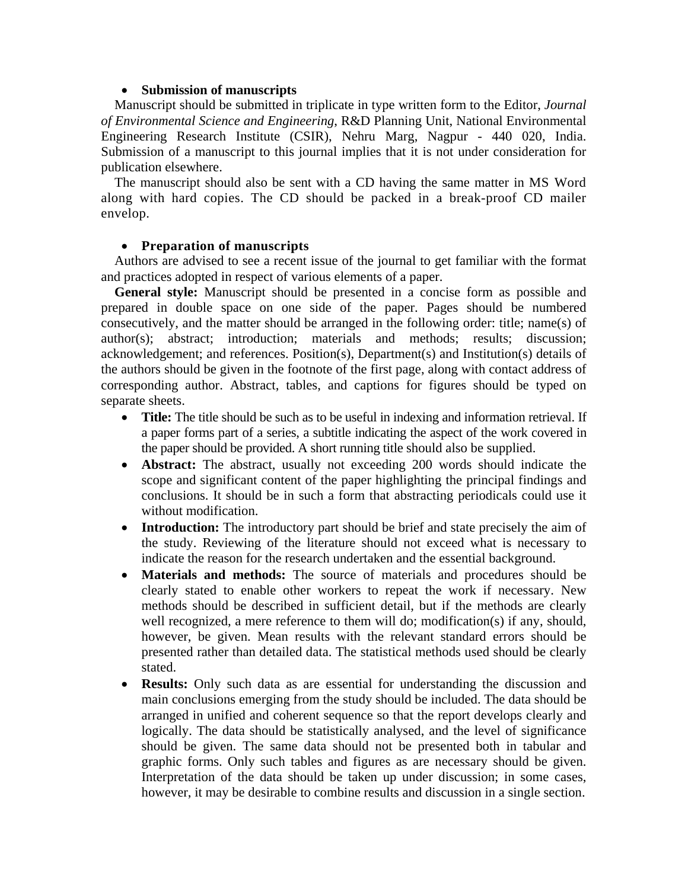## • **Submission of manuscripts**

Manuscript should be submitted in triplicate in type written form to the Editor, *Journal of Environmental Science and Engineering*, R&D Planning Unit, National Environmental Engineering Research Institute (CSIR), Nehru Marg, Nagpur - 440 020, India. Submission of a manuscript to this journal implies that it is not under consideration for publication elsewhere.

The manuscript should also be sent with a CD having the same matter in MS Word along with hard copies. The CD should be packed in a break-proof CD mailer envelop.

## • **Preparation of manuscripts**

Authors are advised to see a recent issue of the journal to get familiar with the format and practices adopted in respect of various elements of a paper.

**General style:** Manuscript should be presented in a concise form as possible and prepared in double space on one side of the paper. Pages should be numbered consecutively, and the matter should be arranged in the following order: title; name(s) of author(s); abstract; introduction; materials and methods; results; discussion; acknowledgement; and references. Position(s), Department(s) and Institution(s) details of the authors should be given in the footnote of the first page, along with contact address of corresponding author. Abstract, tables, and captions for figures should be typed on separate sheets.

- **Title:** The title should be such as to be useful in indexing and information retrieval. If a paper forms part of a series, a subtitle indicating the aspect of the work covered in the paper should be provided. A short running title should also be supplied.
- **Abstract:** The abstract, usually not exceeding 200 words should indicate the scope and significant content of the paper highlighting the principal findings and conclusions. It should be in such a form that abstracting periodicals could use it without modification.
- **Introduction:** The introductory part should be brief and state precisely the aim of the study. Reviewing of the literature should not exceed what is necessary to indicate the reason for the research undertaken and the essential background.
- **Materials and methods:** The source of materials and procedures should be clearly stated to enable other workers to repeat the work if necessary. New methods should be described in sufficient detail, but if the methods are clearly well recognized, a mere reference to them will do; modification(s) if any, should, however, be given. Mean results with the relevant standard errors should be presented rather than detailed data. The statistical methods used should be clearly stated.
- **Results:** Only such data as are essential for understanding the discussion and main conclusions emerging from the study should be included. The data should be arranged in unified and coherent sequence so that the report develops clearly and logically. The data should be statistically analysed, and the level of significance should be given. The same data should not be presented both in tabular and graphic forms. Only such tables and figures as are necessary should be given. Interpretation of the data should be taken up under discussion; in some cases, however, it may be desirable to combine results and discussion in a single section.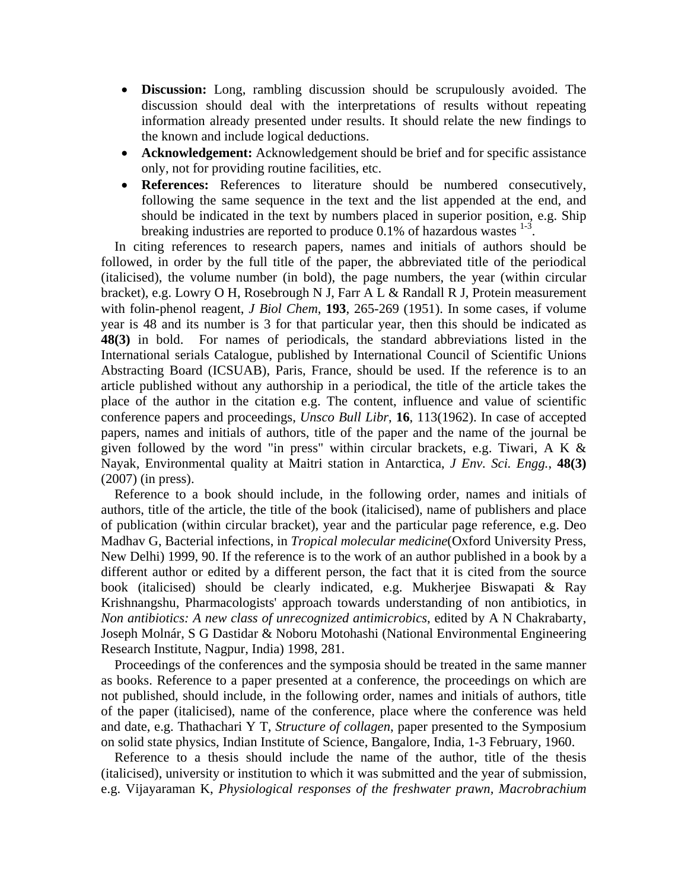- **Discussion:** Long, rambling discussion should be scrupulously avoided. The discussion should deal with the interpretations of results without repeating information already presented under results. It should relate the new findings to the known and include logical deductions.
- **Acknowledgement:** Acknowledgement should be brief and for specific assistance only, not for providing routine facilities, etc.
- **References:** References to literature should be numbered consecutively, following the same sequence in the text and the list appended at the end, and should be indicated in the text by numbers placed in superior position, e.g. Ship breaking industries are reported to produce 0.1% of hazardous wastes  $1-3$ .

In citing references to research papers, names and initials of authors should be followed, in order by the full title of the paper, the abbreviated title of the periodical (italicised), the volume number (in bold), the page numbers, the year (within circular bracket), e.g. Lowry O H, Rosebrough N J, Farr A L & Randall R J, Protein measurement with folin-phenol reagent, *J Biol Chem*, **193**, 265-269 (1951). In some cases, if volume year is 48 and its number is 3 for that particular year, then this should be indicated as **48(3)** in bold. For names of periodicals, the standard abbreviations listed in the International serials Catalogue, published by International Council of Scientific Unions Abstracting Board (ICSUAB), Paris, France, should be used. If the reference is to an article published without any authorship in a periodical, the title of the article takes the place of the author in the citation e.g. The content, influence and value of scientific conference papers and proceedings, *Unsco Bull Libr*, **16**, 113(1962). In case of accepted papers, names and initials of authors, title of the paper and the name of the journal be given followed by the word "in press" within circular brackets, e.g. Tiwari, A K  $\&$ Nayak, Environmental quality at Maitri station in Antarctica, *J Env. Sci. Engg.*, **48(3)** (2007) (in press).

Reference to a book should include, in the following order, names and initials of authors, title of the article, the title of the book (italicised), name of publishers and place of publication (within circular bracket), year and the particular page reference, e.g. Deo Madhav G, Bacterial infections, in *Tropical molecular medicine*(Oxford University Press, New Delhi) 1999, 90. If the reference is to the work of an author published in a book by a different author or edited by a different person, the fact that it is cited from the source book (italicised) should be clearly indicated, e.g. Mukherjee Biswapati & Ray Krishnangshu, Pharmacologists' approach towards understanding of non antibiotics, in *Non antibiotics: A new class of unrecognized antimicrobics*, edited by A N Chakrabarty, Joseph Molnár, S G Dastidar & Noboru Motohashi (National Environmental Engineering Research Institute, Nagpur, India) 1998, 281.

Proceedings of the conferences and the symposia should be treated in the same manner as books. Reference to a paper presented at a conference, the proceedings on which are not published, should include, in the following order, names and initials of authors, title of the paper (italicised), name of the conference, place where the conference was held and date, e.g. Thathachari Y T, *Structure of collagen*, paper presented to the Symposium on solid state physics, Indian Institute of Science, Bangalore, India, 1-3 February, 1960.

Reference to a thesis should include the name of the author, title of the thesis (italicised), university or institution to which it was submitted and the year of submission, e.g. Vijayaraman K, *Physiological responses of the freshwater prawn, Macrobrachium*